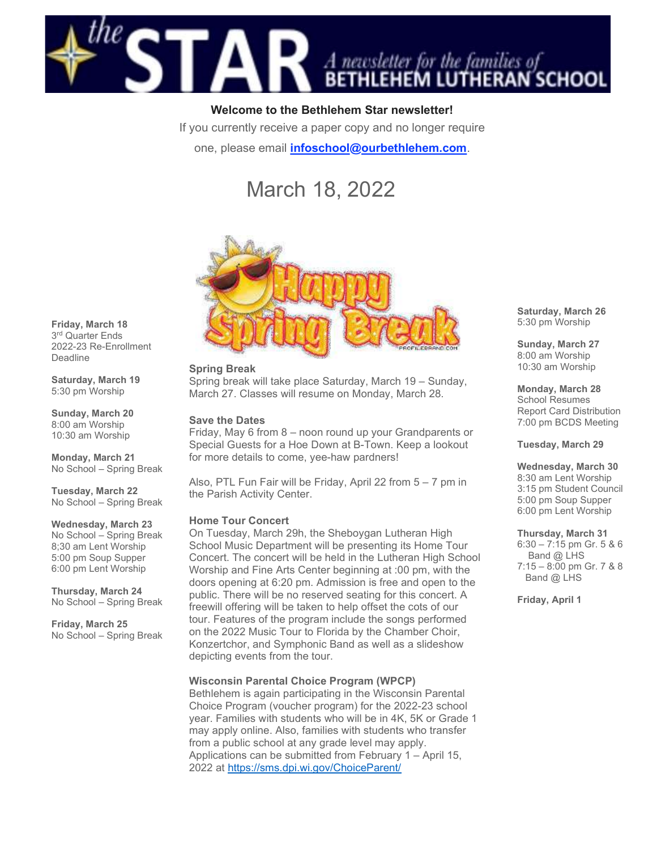

# Welcome to the Bethlehem Star newsletter!

If you currently receive a paper copy and no longer require

one, please email *infoschool@ourbethlehem.com.* 

# March 18, 2022



#### Spring Break

Spring break will take place Saturday, March 19 – Sunday, March 27. Classes will resume on Monday, March 28.

#### Save the Dates

Friday, May 6 from 8 – noon round up your Grandparents or Special Guests for a Hoe Down at B-Town. Keep a lookout for more details to come, yee-haw pardners!

Also, PTL Fun Fair will be Friday, April 22 from 5 – 7 pm in the Parish Activity Center.

#### Home Tour Concert

On Tuesday, March 29h, the Sheboygan Lutheran High School Music Department will be presenting its Home Tour Concert. The concert will be held in the Lutheran High School Worship and Fine Arts Center beginning at :00 pm, with the doors opening at 6:20 pm. Admission is free and open to the public. There will be no reserved seating for this concert. A freewill offering will be taken to help offset the cots of our tour. Features of the program include the songs performed on the 2022 Music Tour to Florida by the Chamber Choir, Konzertchor, and Symphonic Band as well as a slideshow depicting events from the tour.

#### Wisconsin Parental Choice Program (WPCP)

Bethlehem is again participating in the Wisconsin Parental Choice Program (voucher program) for the 2022-23 school year. Families with students who will be in 4K, 5K or Grade 1 may apply online. Also, families with students who transfer from a public school at any grade level may apply. Applications can be submitted from February 1 – April 15, 2022 at https://sms.dpi.wi.gov/ChoiceParent/

Saturday, March 26 5:30 pm Worship

Sunday, March 27 8:00 am Worship 10:30 am Worship

Monday, March 28 School Resumes Report Card Distribution 7:00 pm BCDS Meeting

Tuesday, March 29

#### Wednesday, March 30

8:30 am Lent Worship 3:15 pm Student Council 5:00 pm Soup Supper 6:00 pm Lent Worship

#### Thursday, March 31

6:30 – 7:15 pm Gr. 5 & 6 Band @ LHS 7:15 – 8:00 pm Gr. 7 & 8 Band @ LHS

Friday, April 1

Friday, March 18 3 rd Quarter Ends 2022-23 Re-Enrollment Deadline

Saturday, March 19 5:30 pm Worship

Sunday, March 20 8:00 am Worship 10:30 am Worship

Monday, March 21 No School – Spring Break

Tuesday, March 22 No School – Spring Break

#### Wednesday, March 23

No School – Spring Break 8;30 am Lent Worship 5:00 pm Soup Supper 6:00 pm Lent Worship

Thursday, March 24 No School – Spring Break

Friday, March 25 No School – Spring Break